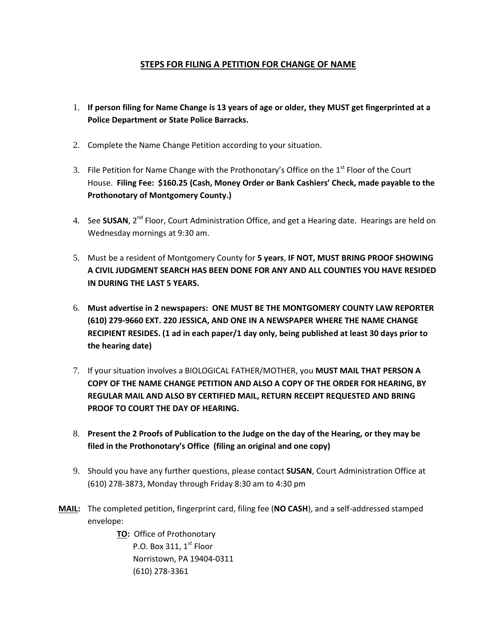#### **STEPS FOR FILING A PETITION FOR CHANGE OF NAME**

- 1. **If person filing for Name Change is 13 years of age or older, they MUST get fingerprinted at a Police Department or State Police Barracks.**
- 2. Complete the Name Change Petition according to your situation.
- 3. File Petition for Name Change with the Prothonotary's Office on the  $1<sup>st</sup>$  Floor of the Court House. **Filing Fee: \$160.25 (Cash, Money Order or Bank Cashiers' Check, made payable to the Prothonotary of Montgomery County.)**
- 4. See **SUSAN**, 2<sup>nd</sup> Floor, Court Administration Office, and get a Hearing date. Hearings are held on Wednesday mornings at 9:30 am.
- 5. Must be a resident of Montgomery County for **5 years**, **IF NOT, MUST BRING PROOF SHOWING A CIVIL JUDGMENT SEARCH HAS BEEN DONE FOR ANY AND ALL COUNTIES YOU HAVE RESIDED IN DURING THE LAST 5 YEARS.**
- 6. **Must advertise in 2 newspapers: ONE MUST BE THE MONTGOMERY COUNTY LAW REPORTER (610) 279-9660 EXT. 220 JESSICA, AND ONE IN A NEWSPAPER WHERE THE NAME CHANGE RECIPIENT RESIDES. (1 ad in each paper/1 day only, being published at least 30 days prior to the hearing date)**
- 7. If your situation involves a BIOLOGICAL FATHER/MOTHER, you **MUST MAIL THAT PERSON A COPY OF THE NAME CHANGE PETITION AND ALSO A COPY OF THE ORDER FOR HEARING, BY REGULAR MAIL AND ALSO BY CERTIFIED MAIL, RETURN RECEIPT REQUESTED AND BRING PROOF TO COURT THE DAY OF HEARING.**
- 8. **Present the 2 Proofs of Publication to the Judge on the day of the Hearing, or they may be filed in the Prothonotary's Office (filing an original and one copy)**
- 9. Should you have any further questions, please contact **SUSAN**, Court Administration Office at (610) 278-3873, Monday through Friday 8:30 am to 4:30 pm
- **MAIL:** The completed petition, fingerprint card, filing fee (**NO CASH**), and a self-addressed stamped envelope:

**TO:** Office of Prothonotary P.O. Box 311,  $1<sup>st</sup>$  Floor Norristown, PA 19404-0311 (610) 278-3361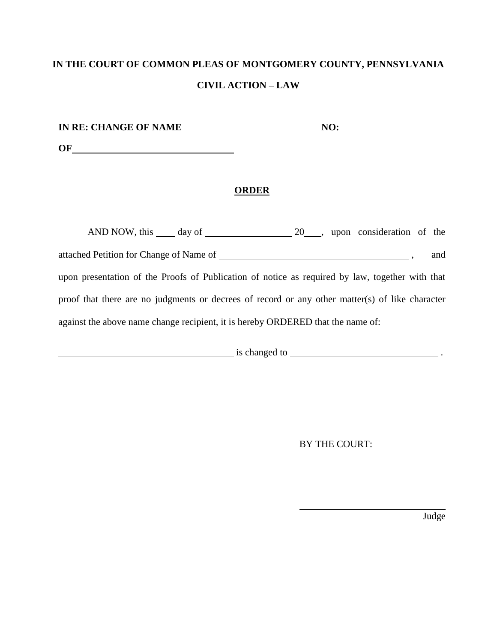| IN RE: CHANGE OF NAME | NO: |
|-----------------------|-----|
| OF                    |     |

**ORDER**

| AND NOW, this day of 20, upon consideration of the                                              |  |     |
|-------------------------------------------------------------------------------------------------|--|-----|
|                                                                                                 |  | and |
| upon presentation of the Proofs of Publication of notice as required by law, together with that |  |     |
| proof that there are no judgments or decrees of record or any other matter(s) of like character |  |     |
| against the above name change recipient, it is hereby ORDERED that the name of:                 |  |     |

 $\frac{1}{\sqrt{1-\frac{1}{\sqrt{1-\frac{1}{\sqrt{1-\frac{1}{\sqrt{1-\frac{1}{\sqrt{1-\frac{1}{\sqrt{1-\frac{1}{\sqrt{1-\frac{1}{\sqrt{1-\frac{1}{\sqrt{1-\frac{1}{\sqrt{1-\frac{1}{\sqrt{1-\frac{1}{\sqrt{1-\frac{1}{\sqrt{1-\frac{1}{\sqrt{1-\frac{1}{\sqrt{1-\frac{1}{\sqrt{1-\frac{1}{\sqrt{1-\frac{1}{\sqrt{1-\frac{1}{\sqrt{1-\frac{1}{\sqrt{1-\frac{1}{\sqrt{1-\frac{1}{\sqrt{1-\frac{1}{\sqrt{1-\frac{1}{\sqrt{1-\frac{1$ 

BY THE COURT:

Judge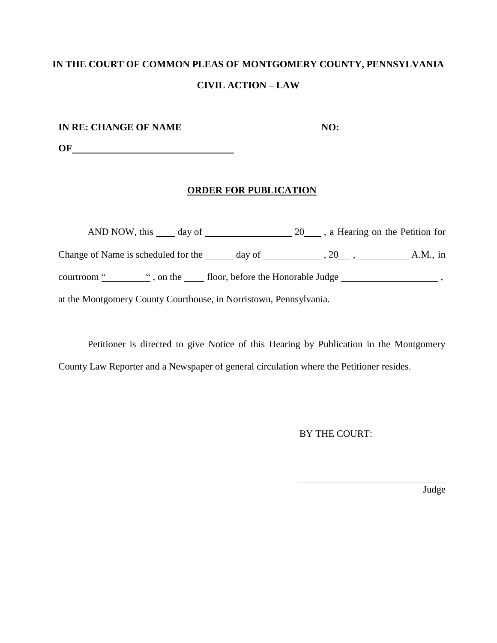**IN RE: CHANGE OF NAME NO:** 

**OF**

### **ORDER FOR PUBLICATION**

AND NOW, this day of 20 , a Hearing on the Petition for Change of Name is scheduled for the day of , 20, A.M., in courtroom " ", on the floor, before the Honorable Judge \_\_\_\_\_\_\_\_\_\_\_\_\_\_\_\_\_\_\_\_\_\_\_, at the Montgomery County Courthouse, in Norristown, Pennsylvania.

Petitioner is directed to give Notice of this Hearing by Publication in the Montgomery County Law Reporter and a Newspaper of general circulation where the Petitioner resides.

BY THE COURT:

Judge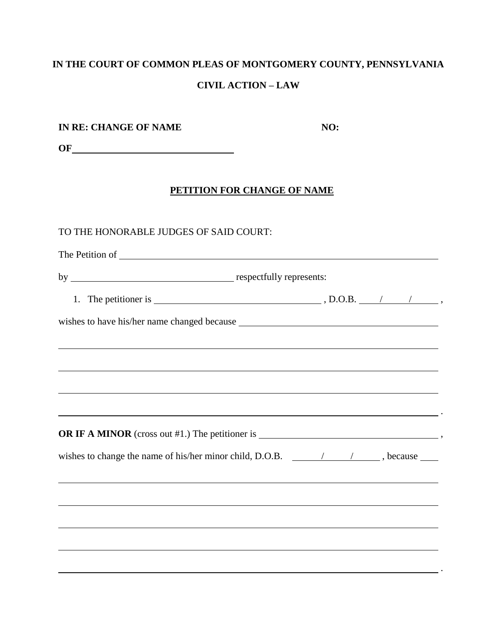| IN RE: CHANGE OF NAME                                                                                            | NO: |  |
|------------------------------------------------------------------------------------------------------------------|-----|--|
|                                                                                                                  |     |  |
|                                                                                                                  |     |  |
| PETITION FOR CHANGE OF NAME                                                                                      |     |  |
| TO THE HONORABLE JUDGES OF SAID COURT:                                                                           |     |  |
|                                                                                                                  |     |  |
|                                                                                                                  |     |  |
|                                                                                                                  |     |  |
|                                                                                                                  |     |  |
|                                                                                                                  |     |  |
| and the control of the control of the control of the control of the control of the control of the control of the |     |  |
| ,我们也不会有什么。""我们的人,我们也不会有什么?""我们的人,我们也不会有什么?""我们的人,我们也不会有什么?""我们的人,我们也不会有什么?""我们的人                                 |     |  |
| ,我们也不会有什么。""我们的人,我们也不会有什么?""我们的人,我们也不会有什么?""我们的人,我们也不会有什么?""我们的人,我们也不会有什么?""我们的人                                 |     |  |
| <u> 1989 - Johann Stoff, amerikansk politiker (d. 1989)</u>                                                      |     |  |
| OR IF A MINOR (cross out #1.) The petitioner is $\overline{\phantom{a}}$ ,                                       |     |  |
| wishes to change the name of his/her minor child, D.O.B. $\sqrt{2}$ / $\sqrt{2}$ , because $\frac{1}{\sqrt{2}}$  |     |  |
|                                                                                                                  |     |  |
|                                                                                                                  |     |  |
|                                                                                                                  |     |  |
|                                                                                                                  |     |  |
|                                                                                                                  |     |  |
|                                                                                                                  |     |  |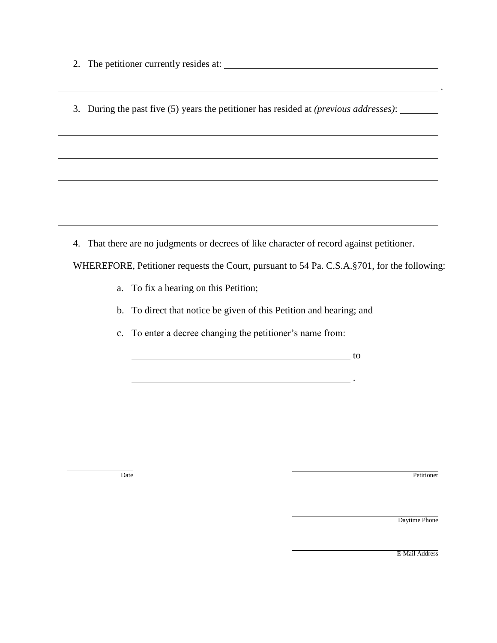2. The petitioner currently resides at:

3. During the past five (5) years the petitioner has resided at *(previous addresses)*:

4. That there are no judgments or decrees of like character of record against petitioner.

WHEREFORE, Petitioner requests the Court, pursuant to 54 Pa. C.S.A.§701, for the following:

.

- a. To fix a hearing on this Petition;
- b. To direct that notice be given of this Petition and hearing; and
- c. To enter a decree changing the petitioner's name from:

to the contract of the contract of the contract of the contract of the contract of the contract of the contract of the contract of the contract of the contract of the contract of the contract of the contract of the contrac

Date Petitioner

Daytime Phone

.

E-Mail Address